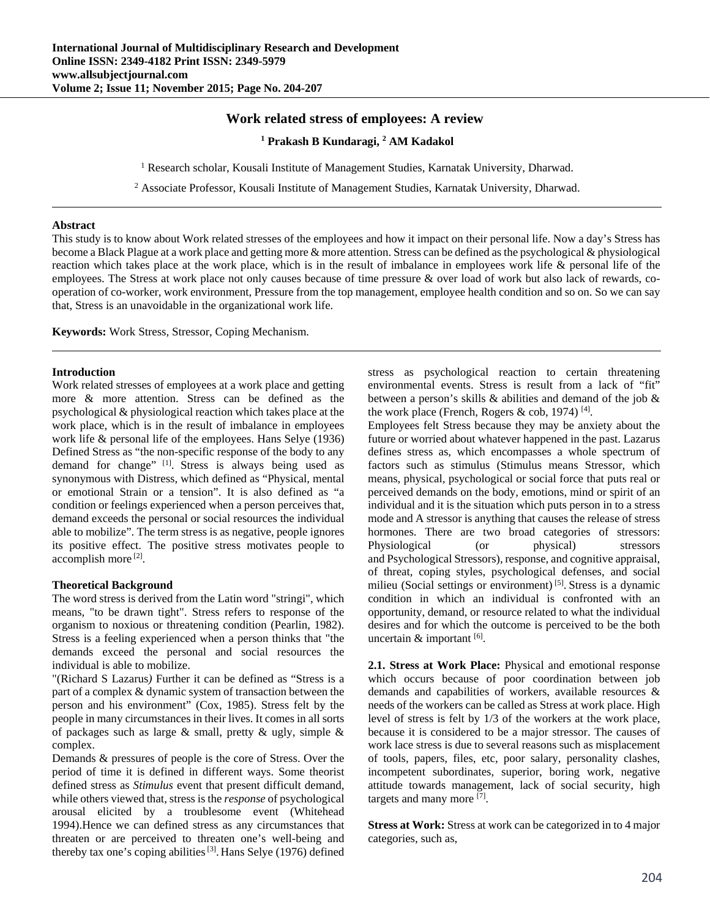# **Work related stress of employees: A review**

#### <sup>1</sup> Prakash B Kundaragi, <sup>2</sup> AM Kadakol

<sup>1</sup> Research scholar, Kousali Institute of Management Studies, Karnatak University, Dharwad.

<sup>2</sup> Associate Professor, Kousali Institute of Management Studies, Karnatak University, Dharwad.

#### **Abstract**

This study is to know about Work related stresses of the employees and how it impact on their personal life. Now a day's Stress has become a Black Plague at a work place and getting more & more attention. Stress can be defined as the psychological & physiological reaction which takes place at the work place, which is in the result of imbalance in employees work life & personal life of the employees. The Stress at work place not only causes because of time pressure & over load of work but also lack of rewards, cooperation of co-worker, work environment, Pressure from the top management, employee health condition and so on. So we can say that, Stress is an unavoidable in the organizational work life.

**Keywords:** Work Stress, Stressor, Coping Mechanism.

#### **Introduction**

Work related stresses of employees at a work place and getting more & more attention. Stress can be defined as the psychological & physiological reaction which takes place at the work place, which is in the result of imbalance in employees work life & personal life of the employees. Hans Selye (1936) Defined Stress as "the non-specific response of the body to any demand for change" [1]. Stress is always being used as synonymous with Distress, which defined as "Physical, mental or emotional Strain or a tension". It is also defined as "a condition or feelings experienced when a person perceives that, demand exceeds the personal or social resources the individual able to mobilize". The term stress is as negative, people ignores its positive effect. The positive stress motivates people to accomplish more [2].

#### **Theoretical Background**

The word stress is derived from the Latin word "stringi", which means, "to be drawn tight". Stress refers to response of the organism to noxious or threatening condition (Pearlin, 1982). Stress is a feeling experienced when a person thinks that "the demands exceed the personal and social resources the individual is able to mobilize.

"(Richard S Lazarus*)* Further it can be defined as "Stress is a part of a complex & dynamic system of transaction between the person and his environment" (Cox, 1985). Stress felt by the people in many circumstances in their lives. It comes in all sorts of packages such as large  $\&$  small, pretty  $\&$  ugly, simple  $\&$ complex.

Demands & pressures of people is the core of Stress. Over the period of time it is defined in different ways. Some theorist defined stress as *Stimulus* event that present difficult demand, while others viewed that, stress is the *response* of psychological arousal elicited by a troublesome event (Whitehead 1994).Hence we can defined stress as any circumstances that threaten or are perceived to threaten one's well-being and thereby tax one's coping abilities  $[3]$ . Hans Selye (1976) defined

stress as psychological reaction to certain threatening environmental events. Stress is result from a lack of "fit" between a person's skills & abilities and demand of the job & the work place (French, Rogers & cob, 1974)  $[4]$ .

Employees felt Stress because they may be anxiety about the future or worried about whatever happened in the past. Lazarus defines stress as, which encompasses a whole spectrum of factors such as stimulus (Stimulus means Stressor, which means, physical, psychological or social force that puts real or perceived demands on the body, emotions, mind or spirit of an individual and it is the situation which puts person in to a stress mode and A stressor is anything that causes the release of stress hormones. There are two broad categories of stressors: Physiological (or physical) stressors and Psychological Stressors), response, and cognitive appraisal, of threat, coping styles, psychological defenses, and social milieu (Social settings or environment) [5]. Stress is a dynamic condition in which an individual is confronted with an opportunity, demand, or resource related to what the individual desires and for which the outcome is perceived to be the both uncertain & important [6].

**2.1. Stress at Work Place:** Physical and emotional response which occurs because of poor coordination between job demands and capabilities of workers, available resources & needs of the workers can be called as Stress at work place. High level of stress is felt by 1/3 of the workers at the work place, because it is considered to be a major stressor. The causes of work lace stress is due to several reasons such as misplacement of tools, papers, files, etc, poor salary, personality clashes, incompetent subordinates, superior, boring work, negative attitude towards management, lack of social security, high targets and many more [7].

**Stress at Work:** Stress at work can be categorized in to 4 major categories, such as,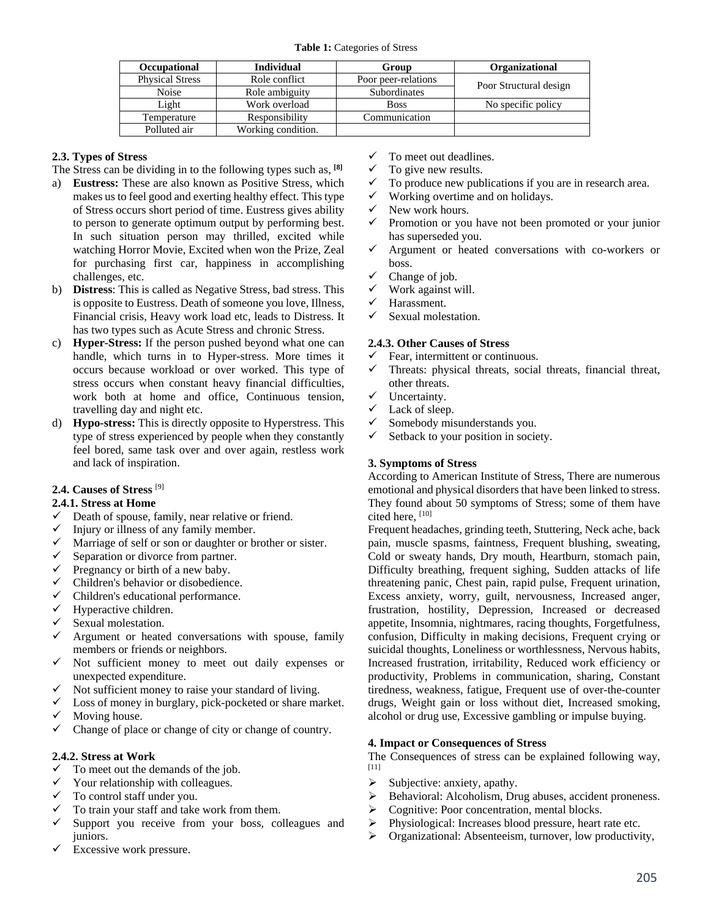|  | Occupational           | <b>Individual</b>  | Group               | Organizational         |
|--|------------------------|--------------------|---------------------|------------------------|
|  | <b>Physical Stress</b> | Role conflict      | Poor peer-relations | Poor Structural design |
|  | Noise                  | Role ambiguity     | Subordinates        |                        |
|  | Light                  | Work overload      | <b>Boss</b>         | No specific policy     |
|  | Temperature            | Responsibility     | Communication       |                        |
|  | Polluted air           | Working condition. |                     |                        |

# **2.3. Types of Stress**

- The Stress can be dividing in to the following types such as, **[8]**
- a) **Eustress:** These are also known as Positive Stress, which makes us to feel good and exerting healthy effect. This type of Stress occurs short period of time. Eustress gives ability to person to generate optimum output by performing best. In such situation person may thrilled, excited while watching Horror Movie, Excited when won the Prize, Zeal for purchasing first car, happiness in accomplishing challenges, etc.
- b) **Distress**: This is called as Negative Stress, bad stress. This is opposite to Eustress. Death of someone you love, Illness, Financial crisis, Heavy work load etc, leads to Distress. It has two types such as Acute Stress and chronic Stress.
- c) **Hyper-Stress:** If the person pushed beyond what one can handle, which turns in to Hyper-stress. More times it occurs because workload or over worked. This type of stress occurs when constant heavy financial difficulties, work both at home and office, Continuous tension, travelling day and night etc.
- d) **Hypo-stress:** This is directly opposite to Hyperstress. This type of stress experienced by people when they constantly feel bored, same task over and over again, restless work and lack of inspiration.

## **2.4. Causes of Stress** [9]

## **2.4.1. Stress at Home**

- $\checkmark$  Death of spouse, family, near relative or friend.
- $\checkmark$  Injury or illness of any family member.
- $\checkmark$  Marriage of self or son or daughter or brother or sister.<br> $\checkmark$  Separation or divorce from partner
- Separation or divorce from partner.
- $\checkmark$  Pregnancy or birth of a new baby.
- $\checkmark$  Children's behavior or disobedience.
- $\checkmark$  Children's educational performance.
- Hyperactive children.
- Sexual molestation.
- $\checkmark$  Argument or heated conversations with spouse, family members or friends or neighbors.
- $\checkmark$  Not sufficient money to meet out daily expenses or unexpected expenditure.
- Not sufficient money to raise your standard of living.
- $\checkmark$  Loss of money in burglary, pick-pocketed or share market.  $\checkmark$  Moving house.
- $\checkmark$  Change of place or change of city or change of country.

## **2.4.2. Stress at Work**

- $\checkmark$  To meet out the demands of the job.
- $\checkmark$  Your relationship with colleagues.<br> $\checkmark$  To control staff under you
- To control staff under you.
- To train your staff and take work from them.
- $\checkmark$  Support you receive from your boss, colleagues and juniors.
- Excessive work pressure.
- $\checkmark$  To meet out deadlines.
- $\checkmark$  To give new results.<br> $\checkmark$  To produce new pub-
- To produce new publications if you are in research area.
- $\checkmark$  Working overtime and on holidays.
- $\checkmark$  New work hours.
- $\checkmark$  Promotion or you have not been promoted or your junior has superseded you.
- $\checkmark$  Argument or heated conversations with co-workers or boss.
- Change of job.
- $\checkmark$  Work against will.<br> $\checkmark$  Harassment
- Harassment.
- Sexual molestation.

## **2.4.3. Other Causes of Stress**

- Fear, intermittent or continuous.
- $\checkmark$  Threats: physical threats, social threats, financial threat, other threats.
- $\checkmark$  Uncertainty.
- $\checkmark$  Lack of sleep.
- Somebody misunderstands you.
- Setback to your position in society.

## **3. Symptoms of Stress**

According to American Institute of Stress, There are numerous emotional and physical disorders that have been linked to stress. They found about 50 symptoms of Stress; some of them have cited here, [10]

Frequent headaches, grinding teeth, Stuttering, Neck ache, back pain, muscle spasms, faintness, Frequent blushing, sweating, Cold or sweaty hands, Dry mouth, Heartburn, stomach pain, Difficulty breathing, frequent sighing, Sudden attacks of life threatening panic, Chest pain, rapid pulse, Frequent urination, Excess anxiety, worry, guilt, nervousness, Increased anger, frustration, hostility, Depression, Increased or decreased appetite, Insomnia, nightmares, racing thoughts, Forgetfulness, confusion, Difficulty in making decisions, Frequent crying or suicidal thoughts, Loneliness or worthlessness, Nervous habits, Increased frustration, irritability, Reduced work efficiency or productivity, Problems in communication, sharing, Constant tiredness, weakness, fatigue, Frequent use of over-the-counter drugs, Weight gain or loss without diet, Increased smoking, alcohol or drug use, Excessive gambling or impulse buying.

## **4. Impact or Consequences of Stress**

The Consequences of stress can be explained following way, [11]

- $\triangleright$  Subjective: anxiety, apathy.
- $\triangleright$  Behavioral: Alcoholism, Drug abuses, accident proneness.<br>  $\triangleright$  Cognitive: Poor concentration, mental blocks.
- Cognitive: Poor concentration, mental blocks.
- Physiological: Increases blood pressure, heart rate etc.
- Organizational: Absenteeism, turnover, low productivity,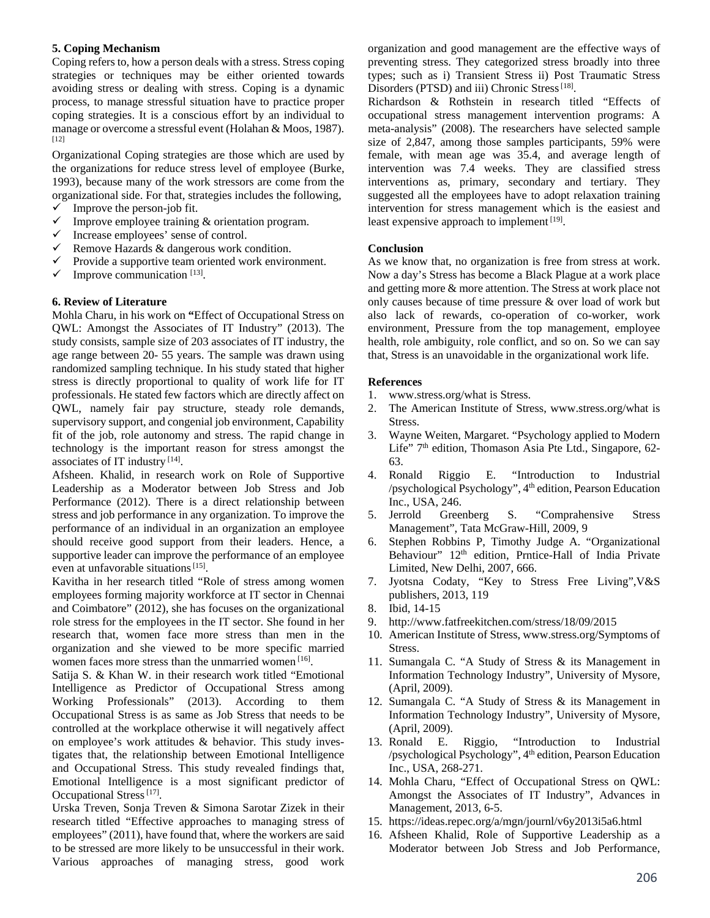## **5. Coping Mechanism**

Coping refers to, how a person deals with a stress. Stress coping strategies or techniques may be either oriented towards avoiding stress or dealing with stress. Coping is a dynamic process, to manage stressful situation have to practice proper coping strategies. It is a conscious effort by an individual to manage or overcome a stressful event (Holahan & Moos, 1987). [12]

Organizational Coping strategies are those which are used by the organizations for reduce stress level of employee (Burke, 1993), because many of the work stressors are come from the organizational side. For that, strategies includes the following,  $\checkmark$  Improve the person-job fit.

- $\checkmark$  Improve employee training & orientation program.
- $\checkmark$  Increase employees' sense of control.
- $\checkmark$  Remove Hazards & dangerous work condition.
- $\checkmark$  Provide a supportive team oriented work environment.
- $\checkmark$  Improve communication [13].

## **6. Review of Literature**

Mohla Charu, in his work on **"**Effect of Occupational Stress on QWL: Amongst the Associates of IT Industry" (2013). The study consists, sample size of 203 associates of IT industry, the age range between 20- 55 years. The sample was drawn using randomized sampling technique. In his study stated that higher stress is directly proportional to quality of work life for IT professionals. He stated few factors which are directly affect on QWL, namely fair pay structure, steady role demands, supervisory support, and congenial job environment, Capability fit of the job, role autonomy and stress. The rapid change in technology is the important reason for stress amongst the associates of IT industry [14].

Afsheen. Khalid, in research work on Role of Supportive Leadership as a Moderator between Job Stress and Job Performance (2012). There is a direct relationship between stress and job performance in any organization. To improve the performance of an individual in an organization an employee should receive good support from their leaders. Hence, a supportive leader can improve the performance of an employee even at unfavorable situations<sup>[15]</sup>.

Kavitha in her research titled "Role of stress among women employees forming majority workforce at IT sector in Chennai and Coimbatore" (2012), she has focuses on the organizational role stress for the employees in the IT sector. She found in her research that, women face more stress than men in the organization and she viewed to be more specific married women faces more stress than the unmarried women [16].

Satija S. & Khan W. in their research work titled "Emotional Intelligence as Predictor of Occupational Stress among Working Professionals" (2013). According to them Occupational Stress is as same as Job Stress that needs to be controlled at the workplace otherwise it will negatively affect on employee's work attitudes & behavior. This study investigates that, the relationship between Emotional Intelligence and Occupational Stress. This study revealed findings that, Emotional Intelligence is a most significant predictor of Occupational Stress<sup>[17]</sup>.

Urska Treven, Sonja Treven & Simona Sarotar Zizek in their research titled "Effective approaches to managing stress of employees" (2011), have found that, where the workers are said to be stressed are more likely to be unsuccessful in their work. Various approaches of managing stress, good work

organization and good management are the effective ways of preventing stress. They categorized stress broadly into three types; such as i) Transient Stress ii) Post Traumatic Stress Disorders (PTSD) and iii) Chronic Stress<sup>[18]</sup>.

Richardson & Rothstein in research titled "Effects of occupational stress management intervention programs: A meta-analysis" (2008). The researchers have selected sample size of 2,847, among those samples participants, 59% were female, with mean age was 35.4, and average length of intervention was 7.4 weeks. They are classified stress interventions as, primary, secondary and tertiary. They suggested all the employees have to adopt relaxation training intervention for stress management which is the easiest and least expensive approach to implement [19].

## **Conclusion**

As we know that, no organization is free from stress at work. Now a day's Stress has become a Black Plague at a work place and getting more & more attention. The Stress at work place not only causes because of time pressure & over load of work but also lack of rewards, co-operation of co-worker, work environment, Pressure from the top management, employee health, role ambiguity, role conflict, and so on. So we can say that, Stress is an unavoidable in the organizational work life.

#### **References**

- 1. www.stress.org/what is Stress.
- 2. The American Institute of Stress, www.stress.org/what is Stress.
- 3. Wayne Weiten, Margaret. "Psychology applied to Modern Life" 7<sup>th</sup> edition, Thomason Asia Pte Ltd., Singapore, 62-63.
- 4. Ronald Riggio E. "Introduction to Industrial /psychological Psychology", 4th edition, Pearson Education Inc., USA, 246.
- 5. Jerrold Greenberg S. "Comprahensive Stress Management", Tata McGraw-Hill, 2009, 9
- 6. Stephen Robbins P, Timothy Judge A. "Organizational Behaviour" 12<sup>th</sup> edition, Prntice-Hall of India Private Limited, New Delhi, 2007, 666.
- 7. Jyotsna Codaty, "Key to Stress Free Living",V&S publishers, 2013, 119
- 8. Ibid, 14-15
- 9. http://www.fatfreekitchen.com/stress/18/09/2015
- 10. American Institute of Stress, www.stress.org/Symptoms of Stress.
- 11. Sumangala C. "A Study of Stress & its Management in Information Technology Industry", University of Mysore, (April, 2009).
- 12. Sumangala C. "A Study of Stress & its Management in Information Technology Industry", University of Mysore, (April, 2009).
- 13. Ronald E. Riggio, "Introduction to Industrial /psychological Psychology", 4th edition, Pearson Education Inc., USA, 268-271.
- 14. Mohla Charu, "Effect of Occupational Stress on QWL: Amongst the Associates of IT Industry", Advances in Management, 2013, 6-5.
- 15. https://ideas.repec.org/a/mgn/journl/v6y2013i5a6.html
- 16. Afsheen Khalid, Role of Supportive Leadership as a Moderator between Job Stress and Job Performance,